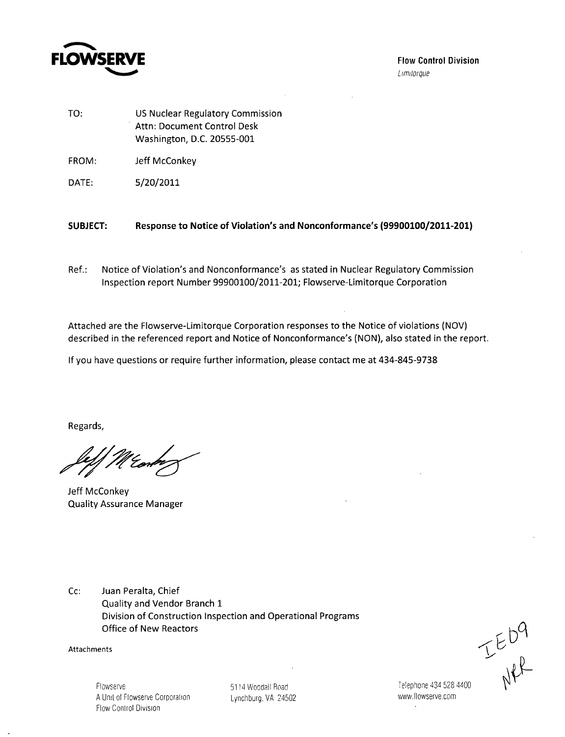

TO: US Nuclear Regulatory Commission Attn: Document Control Desk Washington, D.C. 20555-001

FROM: Jeff McConkey

DATE: 5/20/2011

#### **SUBJECT:** Response to Notice of Violation's and Nonconformance's **(99900100/2011-201)**

Ref.: Notice of Violation's and Nonconformance's as stated in Nuclear Regulatory Commission Inspection report Number 99900100/2011-201; Flowserve-Limitorque Corporation

Attached are the Flowserve-Limitorque Corporation responses to the Notice of violations (NOV) described in the referenced report and Notice of Nonconformance's (NON), also stated in the report.

If you have questions or require further information, please contact me at 434-845-9738

Regards,

Jeff McConkey Quality Assurance Manager

Cc: Juan Peralta, Chief Quality and Vendor Branch 1 Division of Construction Inspection and Operational Programs Office of New Reactors

Attachments

 $TEDQ$ 

Flowserve A Unit of Flowserve Corporation Flow Control Division

5114 Woodall Road Lynchburg, VA 24502 Telephone 434 528 4400 www.flowserve.com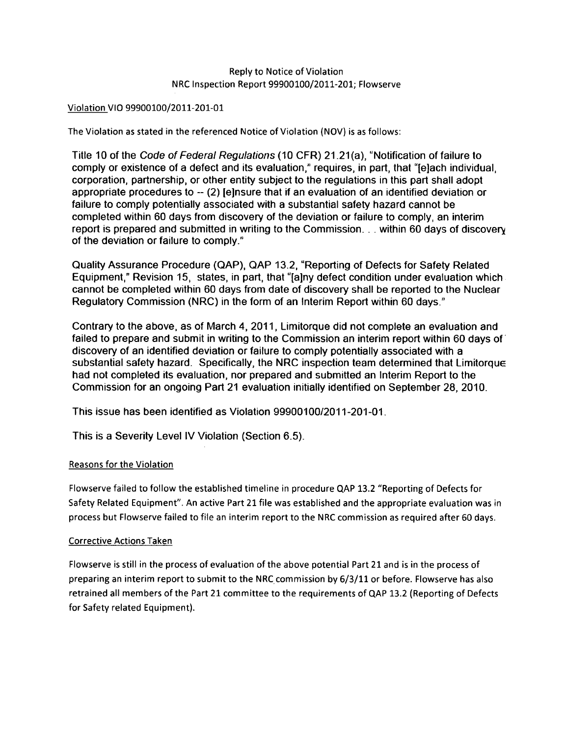## Reply to Notice of Violation NRC Inspection Report 99900100/2011-201; Flowserve

#### Violation VIO 99900100/2011-201-01

The Violation as stated in the referenced Notice of Violation (NOV) is as follows:

Title 10 of the Code *of Federal Regulations* (10 CFR) 21.21 (a), "Notification of failure to comply or existence of a defect and its evaluation," requires, in part, that "[e]ach individual, corporation, partnership, or other entity subject to the regulations in this part shall adopt appropriate procedures to -- (2) [ejnsure that if an evaluation of an identified deviation or failure to comply potentially associated with a substantial safety hazard cannot be completed within 60 days from discovery of the deviation or failure to comply, an interim report is prepared and submitted in writing to the Commission... within 60 days of discovery of the deviation or failure to comply."

Quality Assurance Procedure (QAP), QAP 13.2, "Reporting of Defects for Safety Related Equipment," Revision 15, states, in part, that "[a]ny defect condition under evaluation which cannot be completed within 60 days from date of discovery shall be reported to the Nuclear Regulatory Commission (NRC) in the form of an Interim Report within 60 days."

Contrary to the above, as of March 4, 2011, Limitorque did not complete an evaluation and failed to prepare and submit in writing to the Commission an interim report within 60 days of discovery of an identified deviation or failure to comply potentially associated with a substantial safety hazard. Specifically, the NRC inspection team determined that Limitorque had not completed its evaluation, nor prepared and submitted an Interim Report to the Commission for an ongoing Part 21 evaluation initially identified on September 28, 2010.

This issue has been identified as Violation 99900100/2011-201-01.

This is a Severity Level IV Violation (Section 6.5).

## Reasons for the Violation

Flowserve failed to follow the established timeline in procedure QAP 13.2 "Reporting of Defects for Safety Related Equipment". An active Part 21 file was established and the appropriate evaluation was in process but Flowserve failed to file an interim report to the NRC commission as required after 60 days.

## Corrective Actions Taken

Flowserve is still in the process of evaluation of the above potential Part 21 and is in the process of preparing an interim report to submit to the NRC commission by 6/3/11 or before. Flowserve has also retrained all members of the Part 21 committee to the requirements of **QAP** 13.2 (Reporting of Defects for Safety related Equipment).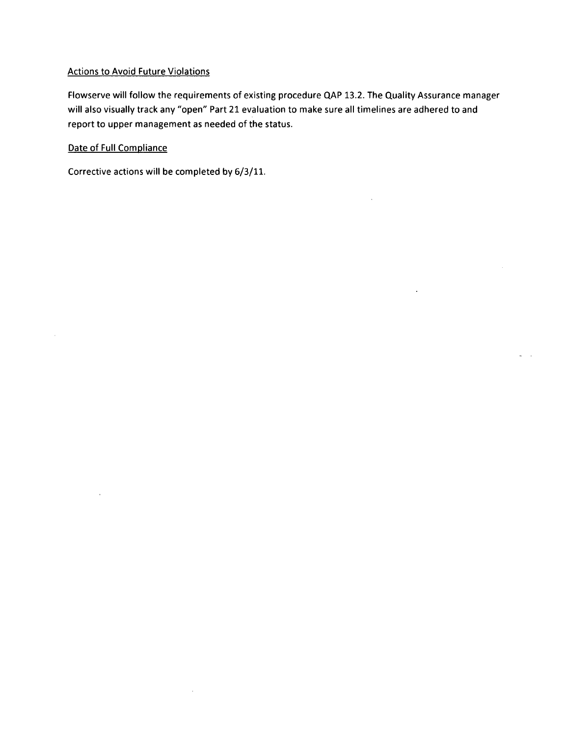## Actions to Avoid Future Violations

Flowserve will follow the requirements of existing procedure QAP 13.2. The Quality Assurance manager will also visually track any "open" Part 21 evaluation to make sure all timelines are adhered to and report to upper management as needed of the status.

## Date of Full Compliance

 $\mathbf{r}$ 

Corrective actions will be completed by 6/3/11.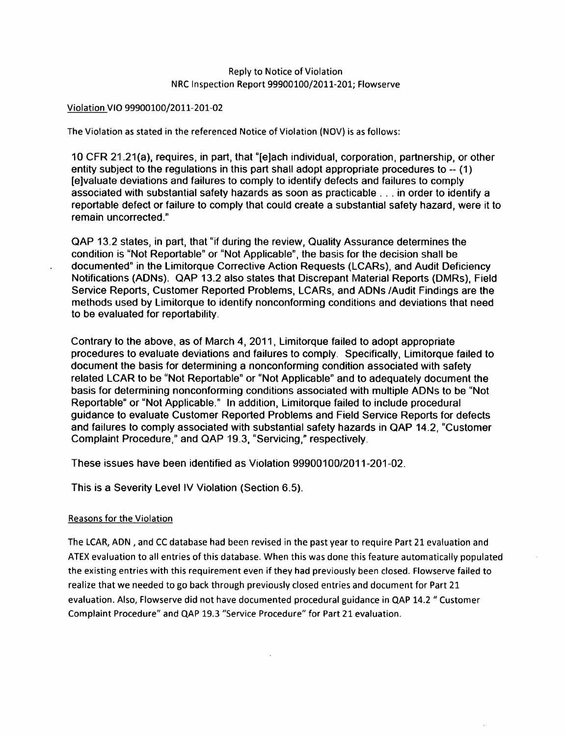#### Reply to Notice of Violation NRC Inspection Report 99900100/2011-201; Flowserve

#### Violation VIO 99900100/2011-201-02

The Violation as stated in the referenced Notice of Violation (NOV) is as follows:

10 CFR 21.21(a), requires, in part, that "[ejach individual, corporation, partnership, or other entity subject to the regulations in this part shall adopt appropriate procedures to -- (1) [ejvaluate deviations and failures to comply to identify defects and failures to comply associated with substantial safety hazards as soon as practicable **...** in order to identify a reportable defect or failure to comply that could create a substantial safety hazard, were it to remain uncorrected."

QAP 13.2 states, in part, that "if during the review, Quality Assurance determines the condition is "Not Reportable" or "Not Applicable", the basis for the decision shall be documented" in the Limitorque Corrective Action Requests (LCARs), and Audit Deficiency Notifications (ADNs). QAP 13.2 also states that Discrepant Material Reports (DMRs), Field Service Reports, Customer Reported Problems, LCARs, and ADNs /Audit Findings are the methods used by Limitorque to identify nonconforming conditions and deviations that need to be evaluated for reportability.

Contrary to the above, as of March 4, 2011, Limitorque failed to adopt appropriate procedures to evaluate deviations and failures to comply. Specifically, Limitorque failed to document the basis for determining a nonconforming condition associated with safety related LCAR to be "Not Reportable" or "Not Applicable" and to adequately document the basis for determining nonconforming conditions associated with multiple ADNs to be "Not Reportable" or "Not Applicable." In addition, Limitorque failed to include procedural guidance to evaluate Customer Reported Problems and Field Service Reports for defects and failures to comply associated with substantial safety hazards in QAP 14.2, "Customer Complaint Procedure," and QAP 19.3, "Servicing," respectively.

These issues have been identified as Violation 99900100/2011-201-02.

This is a Severity Level IV Violation (Section 6.5).

## Reasons for the Violation

The LCAR, ADN , and CC database had been revised in the past year to require Part 21 evaluation and ATEX evaluation to all entries of this database. When this was done this feature automatically populated the existing entries with this requirement even if they had previously been closed. Flowserve failed to realize that we needed to go back through previously closed entries and document for Part 21 evaluation. Also, Flowserve did not have documented procedural guidance in QAP 14.2 "Customer Complaint Procedure" and **QAP** 19.3 "Service Procedure" for Part 21 evaluation.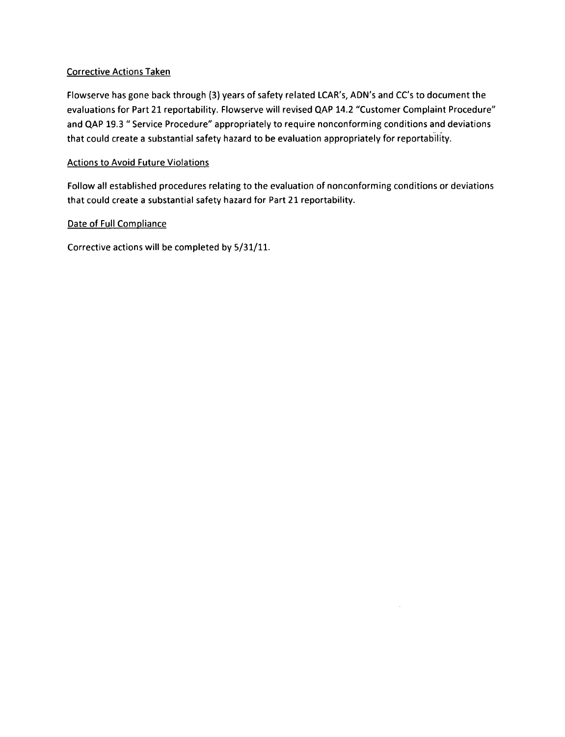## Corrective Actions Taken

Flowserve has gone back through (3) years of safety related LCAR's, ADN's and CC's to document the evaluations for Part 21 reportability. Flowserve will revised **QAP** 14.2 "Customer Complaint Procedure" and QAP 19.3 "Service Procedure" appropriately to require nonconforming conditions and deviations that could create a substantial safety hazard to be evaluation appropriately for reportability.

## Actions to Avoid Future Violations

Follow all established procedures relating to the evaluation of nonconforming conditions or deviations that could create a substantial safety hazard for Part 21 reportability.

 $\sim$ 

## Date of Full Compliance

Corrective actions will be completed by 5/31/11.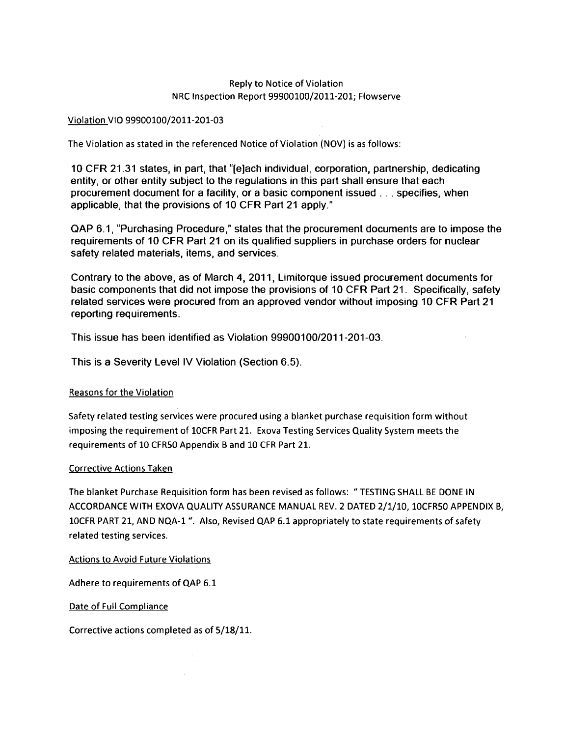## Reply to Notice of Violation NRC Inspection Report 99900100/2011-201; Flowserve

#### Violation VIO 99900100/2011-201-03

The Violation as stated in the referenced Notice of Violation (NOV) is as follows:

10 CFR 21.31 states, in part, that "[e]ach individual, corporation, partnership, dedicating entity, or other entity subject to the regulations in this part shall ensure that each procurement document for a facility, or a basic component issued **. .** specifies, when applicable, that the provisions of 10 CFR Part 21 apply."

QAP 6.1, "Purchasing Procedure," states that the procurement documents are to impose the requirements of 10 CFR Part 21 on its qualified suppliers in purchase orders for nuclear safety related materials, items, and services.

Contrary to the above, as of March 4, 2011, Limitorque issued procurement documents for basic components that did not impose the provisions of 10 CFR Part 21. Specifically, safety related services were procured from an approved vendor without imposing 10 CFR Part 21 reporting requirements.

This issue has been identified as Violation 99900100/2011-201-03.

This is a Severity Level IV Violation (Section 6.5).

## Reasons for the Violation

Safety related testing services were procured using a blanket purchase requisition form without imposing the requirement of 10CFR Part 21. Exova Testing Services Quality System meets the requirements of 10 CFR50 Appendix B and 10 CFR Part 21.

## Corrective Actions Taken

The blanket Purchase Requisition form has been revised as follows: "TESTING SHALL BE DONE IN ACCORDANCE WITH EXOVA QUALITY ASSURANCE MANUAL REV. 2 DATED 2/1/10, 10CFR50 APPENDIX B, 10CFR PART 21, AND NQA-1 ". Also, Revised **QAP** 6.1 appropriately to state requirements of safety related testing services.

Actions to Avoid Future Violations

Adhere to requirements of **QAP** 6.1

Date of Full Compliance

Corrective actions completed as of 5/18/11.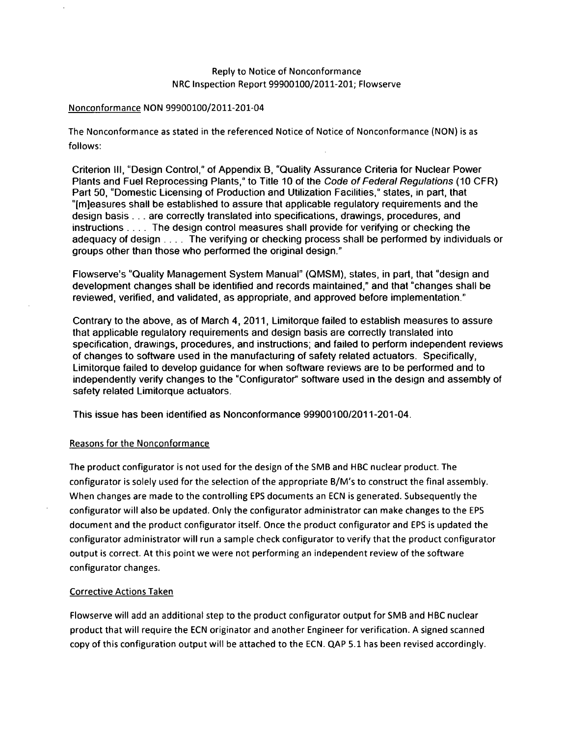#### Nonconformance NON 99900100/2011-201-04

The Nonconformance as stated in the referenced Notice of Notice of Nonconformance (NON) is as follows:

Criterion Ill, "Design Control," of Appendix B, "Quality Assurance Criteria for Nuclear Power Plants and Fuel Reprocessing Plants," to Title 10 of the *Code of Federal Regulations* (10 CFR) Part 50, "Domestic Licensing of Production and Utilization Facilities," states, in part, that "[m]easures shall be established to assure that applicable regulatory requirements and the design basis. **. .** are correctly translated into specifications, drawings, procedures, and instructions **....** The design control measures shall provide for verifying or checking the adequacy of design .... The verifying or checking process shall be performed by individuals or groups other than those who performed the original design."

Flowserve's "Quality Management System Manual" (QMSM), states, in part, that "design and development changes shall be identified and records maintained," and that "changes shall be reviewed, verified, and validated, as appropriate, and approved before implementation."

Contrary to the above, as of March 4, 2011, Limitorque failed to establish measures to assure that applicable regulatory requirements and design basis are correctly translated into specification, drawings, procedures, and instructions; and failed to perform independent reviews of changes to software used in the manufacturing of safety related actuators. Specifically, Limitorque failed to develop guidance for when software reviews are to be performed and to independently verify changes to the "Configurator" software used in the design and assembly of safety related Limitorque actuators.

This issue has been identified as Nonconformance 99900100/2011-201-04.

#### Reasons for the Nonconformance

The product configurator is not used for the design of the SMB and HBC nuclear product. The configurator is solely used for the selection of the appropriate B/M's to construct the final assembly. When changes are made to the controlling EPS documents an ECN is generated. Subsequently the configurator will also be updated. Only the configurator administrator can make changes to the EPS document and the product configurator itself. Once the product configurator and EPS is updated the configurator administrator will run a sample check configurator to verify that the product configurator output is correct. At this point we were not performing an independent review of the software configurator changes.

#### Corrective Actions Taken

Flowserve will add an additional step to the product configurator output for SMB and HBC nuclear product that will require the ECN originator and another Engineer for verification. A signed scanned copy of this configuration output will be attached to the ECN. QAP **5.1** has been revised accordingly.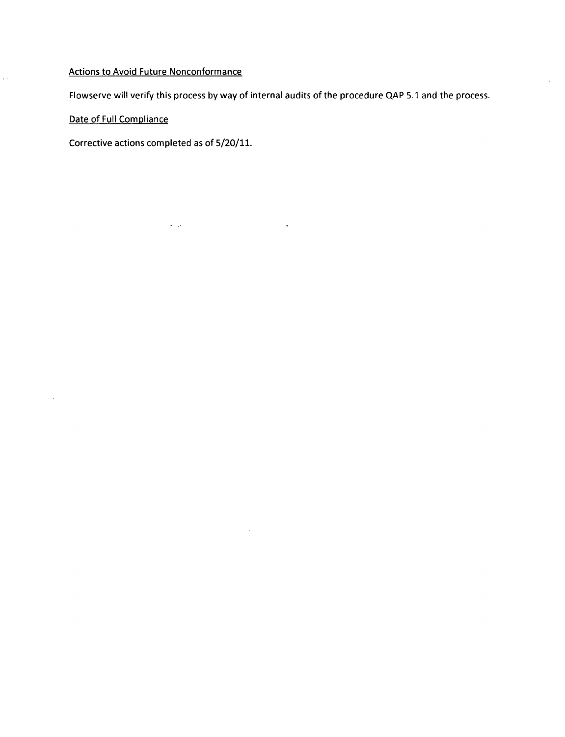# Actions to Avoid Future Nonconformance

Flowserve will verify this process by way of internal audits of the procedure **QAP** 5.1 and the process.

 $\bar{\beta}$ 

 $\sim$ 

Date of Full Compliance

 $\hat{\varphi}$  .

Corrective actions completed as of 5/20/11.

 $\sigma$  , is  $\sigma$  .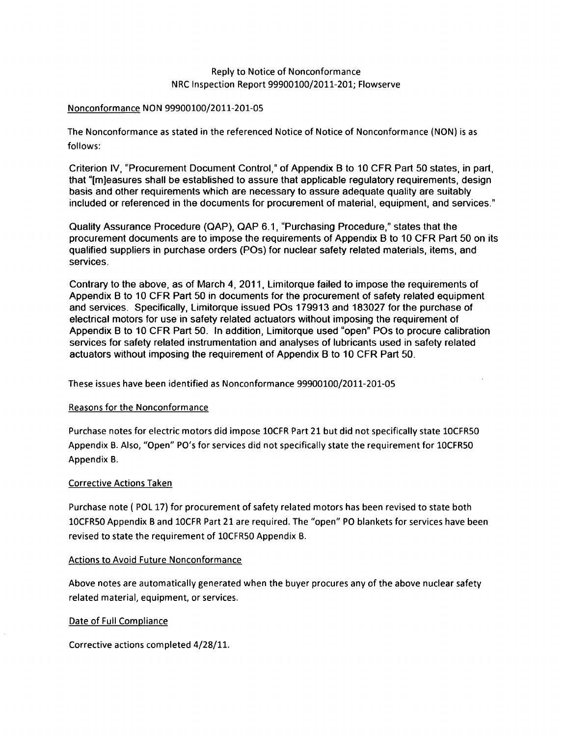## Nonconformance NON 99900100/2011-201-05

The Nonconformance as stated in the referenced Notice of Notice of Nonconformance (NON) is as follows:

Criterion IV, "Procurement Document Control," of Appendix B to 10 CFR Part 50 states, in part, that "[mjeasures shall be established to assure that applicable regulatory requirements, design basis and other requirements which are necessary to assure adequate quality are suitably included or referenced in the documents for procurement of material, equipment, and services."

Quality Assurance Procedure (QAP), QAP 6.1, "Purchasing Procedure," states that the procurement documents are to impose the requirements of Appendix B to 10 CFR Part 50 on its qualified suppliers in purchase orders (POs) for nuclear safety related materials, items, and services.

Contrary to the above, as of March 4, 2011, Limitorque failed to impose the requirements of Appendix B to 10 CFR Part 50 in documents for the procurement of safety related equipment and services. Specifically, Limitorque issued POs 179913 and 183027 for the purchase of electrical motors for use in safety related actuators without imposing the requirement of Appendix B to 10 CFR Part 50. In addition, Limitorque used "open" POs to procure calibration services for safety related instrumentation and analyses of lubricants used in safety related actuators without imposing the requirement of Appendix B to 10 CFR Part 50.

These issues have been identified as Nonconformance 99900100/2011-201-05

## Reasons for the Nonconformance

Purchase notes for electric motors did impose 10CFR Part 21 but did not specifically state 10CFR5O Appendix B. Also, "Open" PO's for services did not specifically state the requirement for 10CFR50 Appendix B.

# Corrective Actions Taken

Purchase note ( POL 17) for procurement of safety related motors has been revised to state both 10CFR50 Appendix B and 10CFR Part 21 are required. The "open" PO blankets for services have been revised to state the requirement of 10CFR50 Appendix B.

## Actions to Avoid Future Nonconformance

Above notes are automatically generated when the buyer procures any of the above nuclear safety related material, equipment, or services.

## Date of Full Compliance

Corrective actions completed 4/28/11.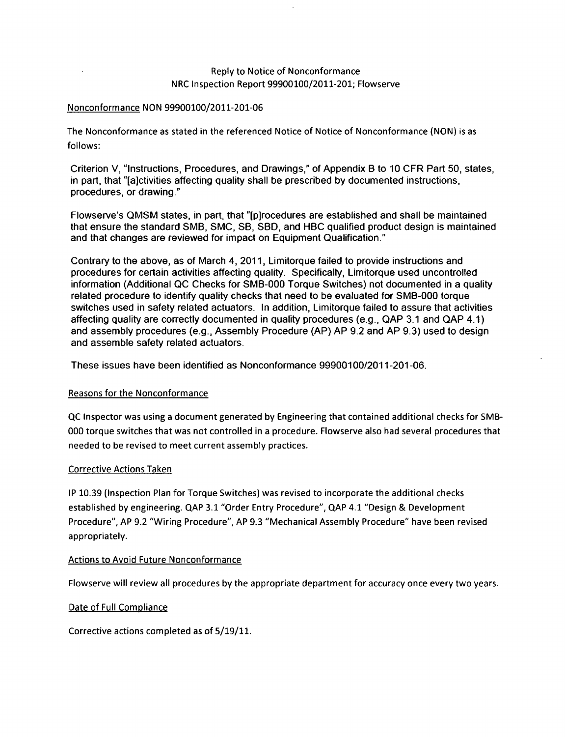#### Nonconformance NON 99900100/2011-201-06

The Nonconformance as stated in the referenced Notice of Notice of Nonconformance (NON) is as follows:

Criterion V, "Instructions, Procedures, and Drawings," of Appendix B to 10 CFR Part 50, states, in part, that "[a]ctivities affecting quality shall be prescribed by documented instructions, procedures, or drawing."

Flowserve's QMSM states, in part, that "[p]rocedures are established and shall be maintained that ensure the standard SMB, SMC, SB, SBD, and HBC qualified product design is maintained and that changes are reviewed for impact on Equipment Qualification."

Contrary to the above, as of March 4, 2011, Limitorque failed to provide instructions and procedures for certain activities affecting quality. Specifically, Limitorque used uncontrolled information (Additional QC Checks for SMB-000 Torque Switches) not documented in a quality related procedure to identify quality checks that need to be evaluated for SMB-000 torque switches used in safety related actuators. In addition, Limitorque failed to assure that activities affecting quality are correctly documented in quality procedures (e.g., QAP 3.1 and QAP 4.1) and assembly procedures (e.g., Assembly Procedure (AP) AP 9.2 and AP 9.3) used to design and assemble safety related actuators.

These issues have been identified as Nonconformance 99900100/2011-201-06.

#### Reasons for the Nonconformance

QC Inspector was using a document generated by Engineering that contained additional checks for SMB-000 torque switches that was not controlled in a procedure. Flowserve also had several procedures that needed to be revised to meet current assembly practices.

#### Corrective Actions Taken

IP 10.39 (Inspection Plan for Torque Switches) was revised to incorporate the additional checks established by engineering. QAP 3.1 "Order Entry Procedure", QAP 4.1 "Design & Development Procedure", AP 9.2 "Wiring Procedure", AP 9.3 "Mechanical Assembly Procedure" have been revised appropriately.

#### Actions to Avoid Future Nonconformance

Flowserve will review all procedures by the appropriate department for accuracy once every two years.

#### Date of Full Compliance

Corrective actions completed as of 5/19/11.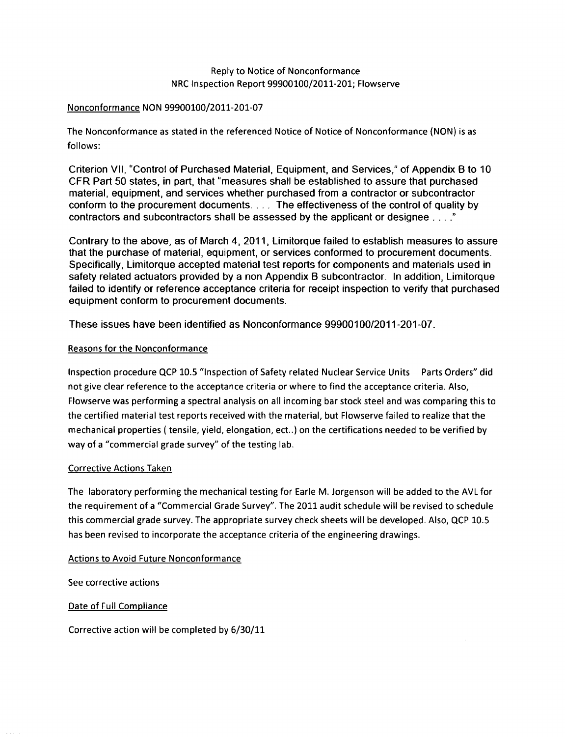## Nonconformance NON 99900100/2011-201-07

The Nonconformance as stated in the referenced Notice of Notice of Nonconformance (NON) is as follows:

Criterion VII, "Control of Purchased Material, Equipment, and Services," of Appendix B to 10 CFR Part 50 states, in part, that "measures shall be established to assure that purchased material, equipment, and services whether purchased from a contractor or subcontractor conform to the procurement documents **....** The effectiveness of the control of quality by contractors and subcontractors shall be assessed by the applicant or designee . **... "**

Contrary to the above, as of March 4, 2011, Limitorque failed to establish measures to assure that the purchase of material, equipment, or services conformed to procurement documents. Specifically, Limitorque accepted material test reports for components and materials used in safety related actuators provided by a non Appendix B subcontractor. In addition, Limitorque failed to identify or reference acceptance criteria for receipt inspection to verify that purchased equipment conform to procurement documents.

These issues have been identified as Nonconformance 99900100/2011-201-07.

## Reasons for the Nonconformance

Inspection procedure QCP 10.5 "Inspection of Safety related Nuclear Service Units Parts Orders" did not give clear reference to the acceptance criteria or where to find the acceptance criteria. Also, Flowserve was performing a spectral analysis on all incoming bar stock steel and was comparing this to the certified material test reports received with the material, but Flowserve failed to realize that the mechanical properties ( tensile, yield, elongation, ect..) on the certifications needed to be verified by way of a "commercial grade survey" of the testing lab.

## Corrective Actions Taken

The laboratory performing the mechanical testing for Earle M. Jorgenson will be added to the AVL for the requirement of a "Commercial Grade Survey". The 2011 audit schedule will be revised to schedule this commercial grade survey. The appropriate survey check sheets will be developed. Also, **QCP** 10.5 has been revised to incorporate the acceptance criteria of the engineering drawings.

## Actions to Avoid Future Nonconformance

See corrective actions

Date of Full Compliance

Corrective action will be completed by 6/30/11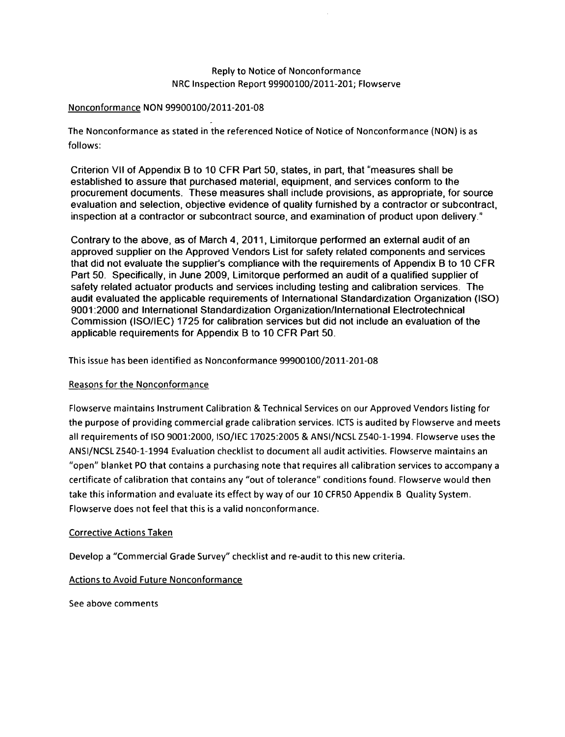#### Nonconformance NON 99900100/2011-201-08

The Nonconformance as stated in the referenced Notice of Notice of Nonconformance (NON) is as follows:

Criterion VII of Appendix B to 10 CFR Part 50, states, in part, that "measures shall be established to assure that purchased material, equipment, and services conform to the procurement documents. These measures shall include provisions, as appropriate, for source evaluation and selection, objective evidence of quality furnished by a contractor or subcontract, inspection at a contractor or subcontract source, and examination of product upon delivery."

Contrary to the above, as of March 4, 2011, Limitorque performed an external audit of an approved supplier on the Approved Vendors List for safety related components and services that did not evaluate the supplier's compliance with the requirements of Appendix B to 10 CFR Part 50. Specifically, in June 2009, Limitorque performed an audit of a qualified supplier of safety related actuator products and services including testing and calibration services. The audit evaluated the applicable requirements of International Standardization Organization (ISO) 9001:2000 and International Standardization Organization/International Electrotechnical Commission (ISO/IEC) 1725 for calibration services but did not include an evaluation of the applicable requirements for Appendix B to 10 CFR Part 50.

This issue has been identified as Nonconformance 99900100/2011-201-08

## Reasons for the Nonconformance

Flowserve maintains Instrument Calibration & Technical Services on our Approved Vendors listing for the purpose of providing commercial grade calibration services. ICTS is audited by Flowserve and meets all requirements of ISO 9001:2000, ISO/IEC 17025:2005 & ANSI/NCSL Z540-1-1994. Flowserve uses the ANSI/NCSL Z540-1-1994 Evaluation checklist to document all audit activities. Flowserve maintains an "open" blanket PO that contains a purchasing note that requires all calibration services to accompany a certificate of calibration that contains any "out of tolerance" conditions found. Flowserve would then take this information and evaluate its effect by way of our **10** CFR50 Appendix B Quality System. Flowserve does not feel that this is a valid nonconformance.

## Corrective Actions Taken

Develop a "Commercial Grade Survey" checklist and re-audit to this new criteria.

## Actions to Avoid Future Nonconformance

See above comments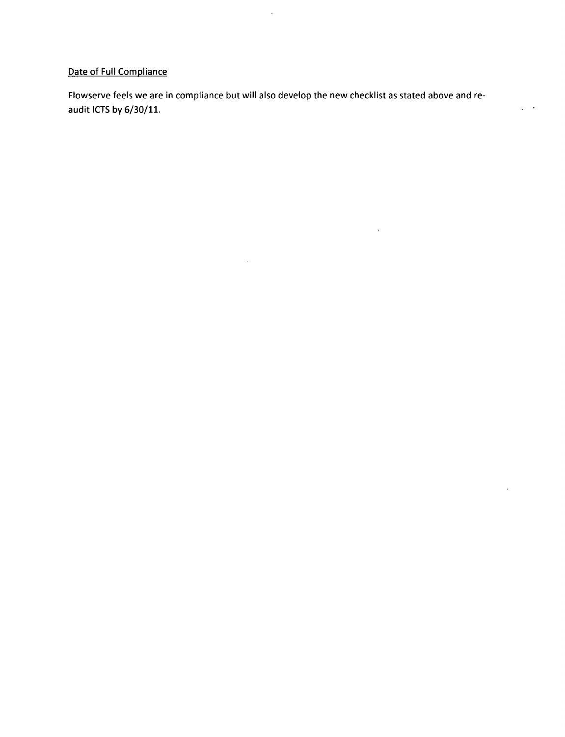# Date of Full Compliance

Flowserve feels we are in compliance but will also develop the new checklist as stated above and reaudit ICTS by 6/30/11.

 $\hat{\mathcal{L}}$ 

 $\mathcal{A}^{\text{max}}$ 

 $\bar{\phantom{a}}$  $\ddot{\phantom{a}}$ 

 $\ddot{\phantom{0}}$ 

 $\ddot{\phantom{a}}$